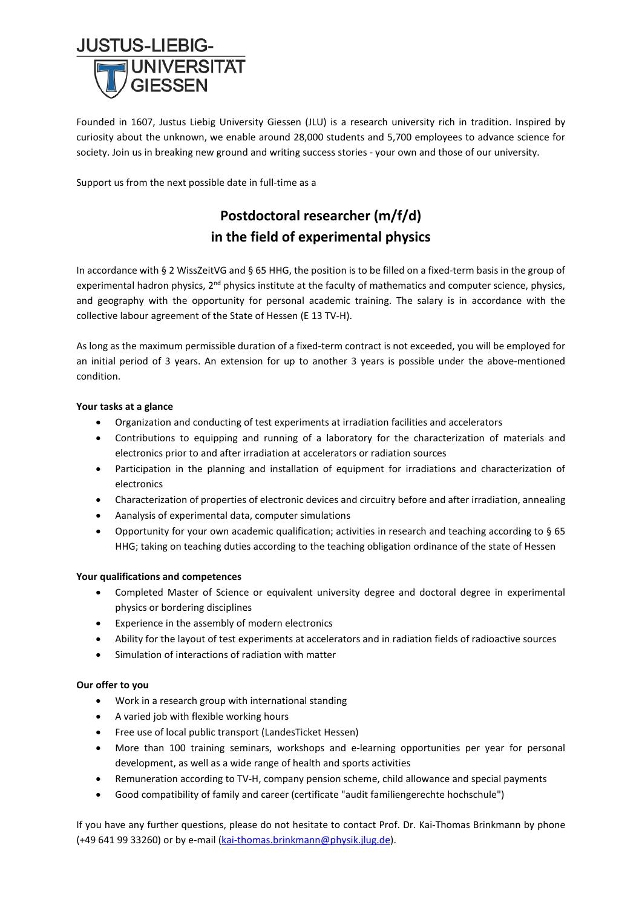

Founded in 1607, Justus Liebig University Giessen (JLU) is a research university rich in tradition. Inspired by curiosity about the unknown, we enable around 28,000 students and 5,700 employees to advance science for society. Join us in breaking new ground and writing success stories - your own and those of our university.

Support us from the next possible date in full-time as a

# **Postdoctoral researcher (m/f/d) in the field of experimental physics**

In accordance with § 2 WissZeitVG and § 65 HHG, the position is to be filled on a fixed-term basis in the group of experimental hadron physics,  $2^{nd}$  physics institute at the faculty of mathematics and computer science, physics, and geography with the opportunity for personal academic training. The salary is in accordance with the collective labour agreement of the State of Hessen (E 13 TV-H).

As long as the maximum permissible duration of a fixed-term contract is not exceeded, you will be employed for an initial period of 3 years. An extension for up to another 3 years is possible under the above-mentioned condition.

## **Your tasks at a glance**

- Organization and conducting of test experiments at irradiation facilities and accelerators
- Contributions to equipping and running of a laboratory for the characterization of materials and electronics prior to and after irradiation at accelerators or radiation sources
- Participation in the planning and installation of equipment for irradiations and characterization of electronics
- Characterization of properties of electronic devices and circuitry before and after irradiation, annealing
- Aanalysis of experimental data, computer simulations
- Opportunity for your own academic qualification; activities in research and teaching according to § 65 HHG; taking on teaching duties according to the teaching obligation ordinance of the state of Hessen

### **Your qualifications and competences**

- Completed Master of Science or equivalent university degree and doctoral degree in experimental physics or bordering disciplines
- Experience in the assembly of modern electronics
- Ability for the layout of test experiments at accelerators and in radiation fields of radioactive sources
- Simulation of interactions of radiation with matter

### **Our offer to you**

- Work in a research group with international standing
- A varied job with flexible working hours
- Free use of local public transport (LandesTicket Hessen)
- More than 100 training seminars, workshops and e-learning opportunities per year for personal development, as well as a wide range of health and sports activities
- Remuneration according to TV-H, company pension scheme, child allowance and special payments
- Good compatibility of family and career (certificate "audit familiengerechte hochschule")

If you have any further questions, please do not hesitate to contact Prof. Dr. Kai-Thomas Brinkmann by phone (+49 641 99 33260) or by e-mail [\(kai-thomas.brinkmann@physik.jlug.de\)](mailto:kai-thomas.brinkmann@physik.jlug.de).